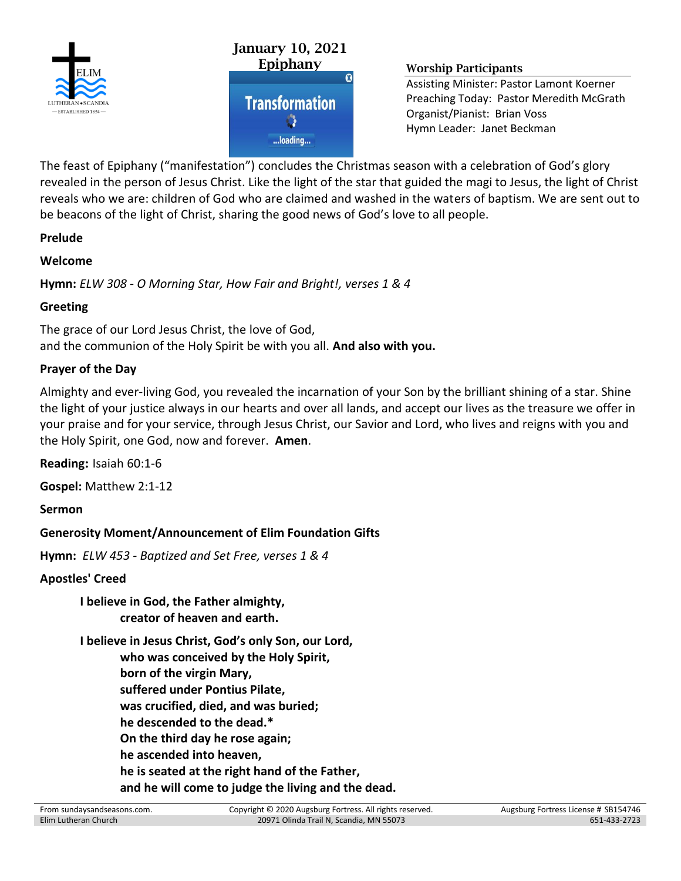



Assisting Minister: Pastor Lamont Koerner Preaching Today: Pastor Meredith McGrath Organist/Pianist: Brian Voss Hymn Leader: Janet Beckman

The feast of Epiphany ("manifestation") concludes the Christmas season with a celebration of God's glory revealed in the person of Jesus Christ. Like the light of the star that guided the magi to Jesus, the light of Christ reveals who we are: children of God who are claimed and washed in the waters of baptism. We are sent out to be beacons of the light of Christ, sharing the good news of God's love to all people.

#### **Prelude**

### **Welcome**

**Hymn:** *ELW 308 - O Morning Star, How Fair and Bright!, verses 1 & 4*

### **Greeting**

The grace of our Lord Jesus Christ, the love of God, and the communion of the Holy Spirit be with you all. **And also with you.**

### **Prayer of the Day**

Almighty and ever-living God, you revealed the incarnation of your Son by the brilliant shining of a star. Shine the light of your justice always in our hearts and over all lands, and accept our lives as the treasure we offer in your praise and for your service, through Jesus Christ, our Savior and Lord, who lives and reigns with you and the Holy Spirit, one God, now and forever. **Amen**.

**Reading:** Isaiah 60:1-6

**Gospel:** Matthew 2:1-12

**Sermon**

### **Generosity Moment/Announcement of Elim Foundation Gifts**

**Hymn:** *ELW 453 - Baptized and Set Free, verses 1 & 4*

### **Apostles' Creed**

**I believe in God, the Father almighty, creator of heaven and earth.**

**I believe in Jesus Christ, God's only Son, our Lord, who was conceived by the Holy Spirit, born of the virgin Mary, suffered under Pontius Pilate, was crucified, died, and was buried; he descended to the dead.\* On the third day he rose again; he ascended into heaven, he is seated at the right hand of the Father, and he will come to judge the living and the dead.**